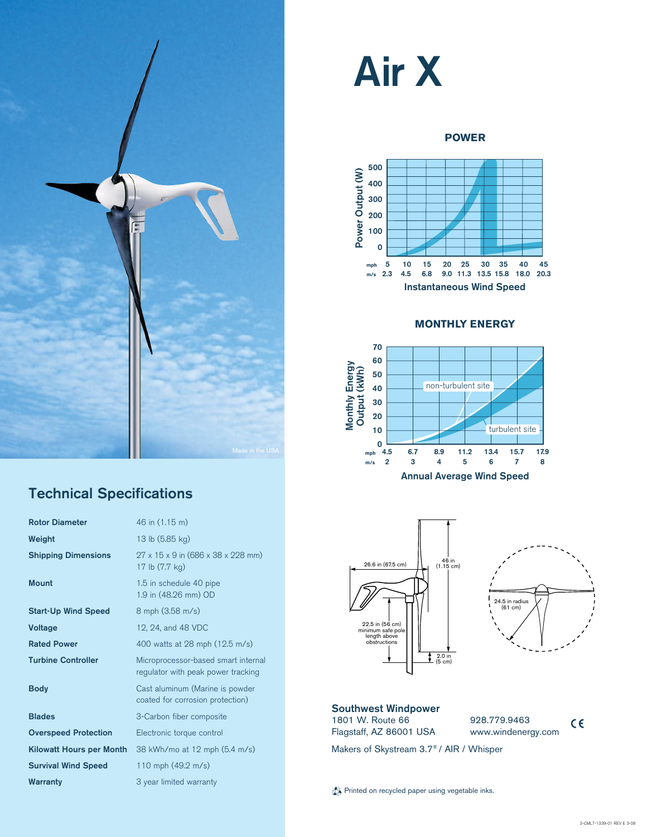

### Technical Specifications

| 46 in (1.15 m)                                                            |
|---------------------------------------------------------------------------|
|                                                                           |
| 13 lb (5.85 kg)                                                           |
| $27 \times 15 \times 9$ in (686 x 38 x 228 mm)<br>17 lb (7.7 kg)          |
| 1.5 in schedule 40 pipe<br>1.9 in (48.26 mm) OD                           |
| 8 mph (3.58 m/s)                                                          |
| 12, 24, and 48 VDC                                                        |
| 400 watts at 28 mph (12.5 m/s)                                            |
| Microprocessor-based smart internal<br>regulator with peak power tracking |
|                                                                           |
| Cast aluminum (Marine is powder<br>coated for corrosion protection)       |
| 3-Carbon fiber composite                                                  |
| Electronic torque control                                                 |
| 38 kWh/mo at 12 mph (5.4 m/s)                                             |
| 110 mph $(49.2 \text{ m/s})$                                              |
|                                                                           |

# Air X

#### **POWER**



#### **monthly energy**







#### Southwest Windpower 1801 W. Route 66 Flagstaff, AZ 86001 USA

928.779.9463 **CE** www.windenergy.com

Makers of Skystream 3.7® / AIR / Whisper

Printed on recycled paper using vegetable inks.

 $c\epsilon$